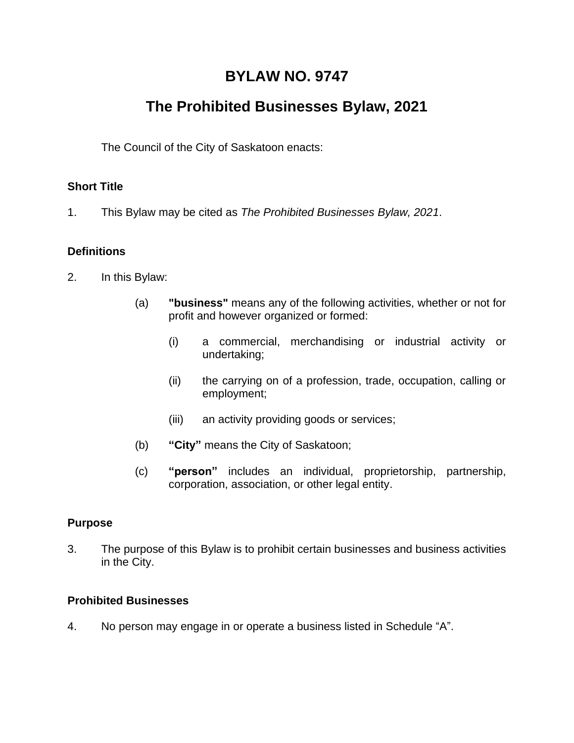## **BYLAW NO. 9747**

# **The Prohibited Businesses Bylaw, 2021**

The Council of the City of Saskatoon enacts:

## **Short Title**

1. This Bylaw may be cited as *The Prohibited Businesses Bylaw, 2021*.

## **Definitions**

- 2. In this Bylaw:
	- (a) **"business"** means any of the following activities, whether or not for profit and however organized or formed:
		- (i) a commercial, merchandising or industrial activity or undertaking;
		- (ii) the carrying on of a profession, trade, occupation, calling or employment;
		- (iii) an activity providing goods or services;
	- (b) **"City"** means the City of Saskatoon;
	- (c) **"person"** includes an individual, proprietorship, partnership, corporation, association, or other legal entity.

## **Purpose**

3. The purpose of this Bylaw is to prohibit certain businesses and business activities in the City.

## **Prohibited Businesses**

4. No person may engage in or operate a business listed in Schedule "A".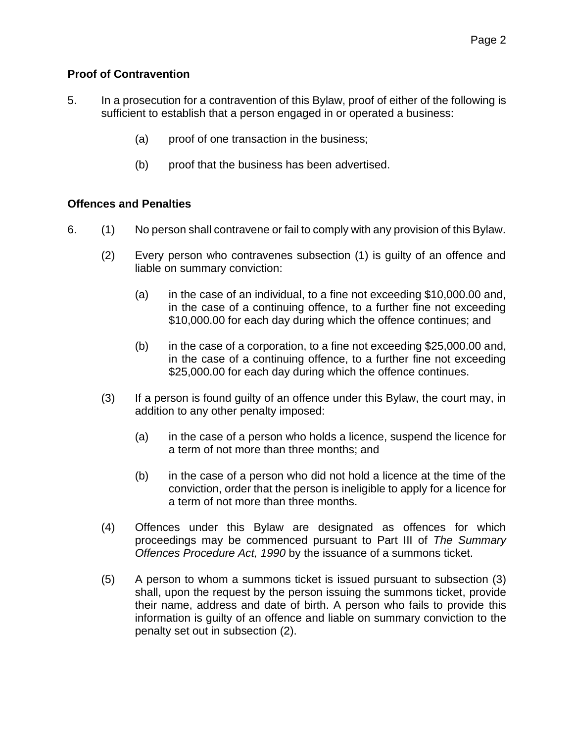#### **Proof of Contravention**

- 5. In a prosecution for a contravention of this Bylaw, proof of either of the following is sufficient to establish that a person engaged in or operated a business:
	- (a) proof of one transaction in the business;
	- (b) proof that the business has been advertised.

#### **Offences and Penalties**

- 6. (1) No person shall contravene or fail to comply with any provision of this Bylaw.
	- (2) Every person who contravenes subsection (1) is guilty of an offence and liable on summary conviction:
		- (a) in the case of an individual, to a fine not exceeding \$10,000.00 and, in the case of a continuing offence, to a further fine not exceeding \$10,000.00 for each day during which the offence continues; and
		- (b) in the case of a corporation, to a fine not exceeding \$25,000.00 and, in the case of a continuing offence, to a further fine not exceeding \$25,000.00 for each day during which the offence continues.
	- (3) If a person is found guilty of an offence under this Bylaw, the court may, in addition to any other penalty imposed:
		- (a) in the case of a person who holds a licence, suspend the licence for a term of not more than three months; and
		- (b) in the case of a person who did not hold a licence at the time of the conviction, order that the person is ineligible to apply for a licence for a term of not more than three months.
	- (4) Offences under this Bylaw are designated as offences for which proceedings may be commenced pursuant to Part III of *The Summary Offences Procedure Act, 1990* by the issuance of a summons ticket.
	- (5) A person to whom a summons ticket is issued pursuant to subsection (3) shall, upon the request by the person issuing the summons ticket, provide their name, address and date of birth. A person who fails to provide this information is guilty of an offence and liable on summary conviction to the penalty set out in subsection (2).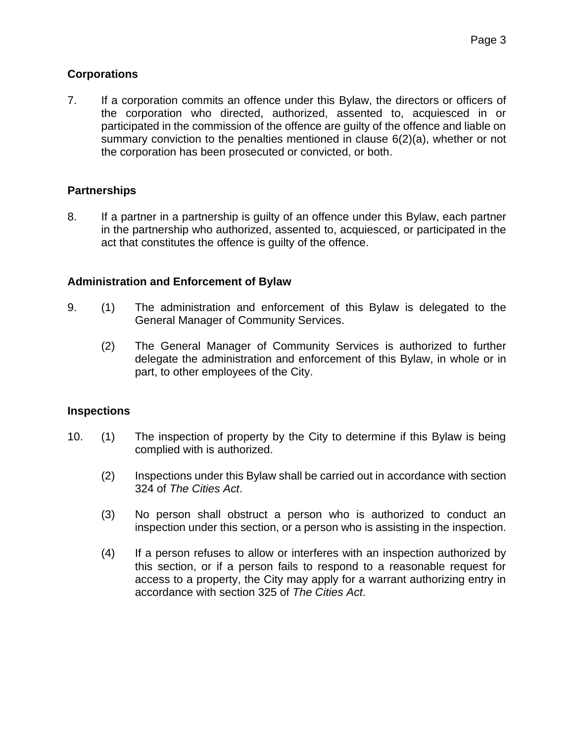#### **Corporations**

7. If a corporation commits an offence under this Bylaw, the directors or officers of the corporation who directed, authorized, assented to, acquiesced in or participated in the commission of the offence are guilty of the offence and liable on summary conviction to the penalties mentioned in clause 6(2)(a), whether or not the corporation has been prosecuted or convicted, or both.

#### **Partnerships**

8. If a partner in a partnership is guilty of an offence under this Bylaw, each partner in the partnership who authorized, assented to, acquiesced, or participated in the act that constitutes the offence is guilty of the offence.

#### **Administration and Enforcement of Bylaw**

- 9. (1) The administration and enforcement of this Bylaw is delegated to the General Manager of Community Services.
	- (2) The General Manager of Community Services is authorized to further delegate the administration and enforcement of this Bylaw, in whole or in part, to other employees of the City.

#### **Inspections**

- 10. (1) The inspection of property by the City to determine if this Bylaw is being complied with is authorized.
	- (2) Inspections under this Bylaw shall be carried out in accordance with section 324 of *The Cities Act*.
	- (3) No person shall obstruct a person who is authorized to conduct an inspection under this section, or a person who is assisting in the inspection.
	- (4) If a person refuses to allow or interferes with an inspection authorized by this section, or if a person fails to respond to a reasonable request for access to a property, the City may apply for a warrant authorizing entry in accordance with section 325 of *The Cities Act*.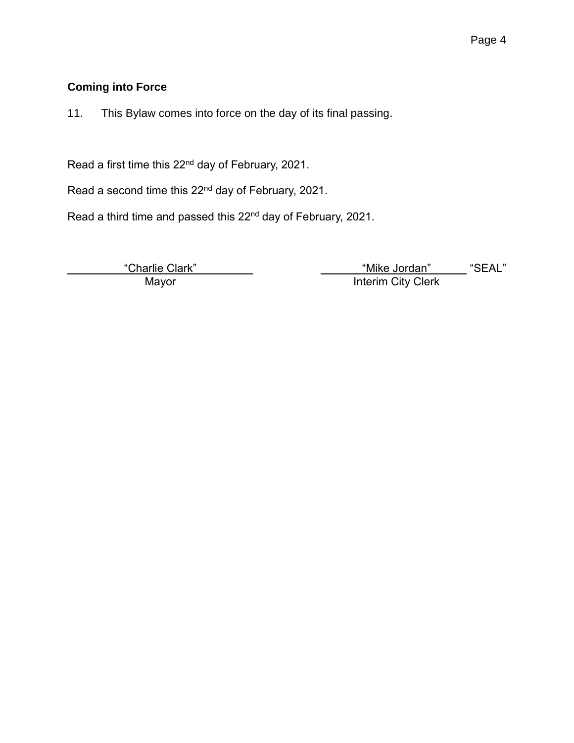## **Coming into Force**

11. This Bylaw comes into force on the day of its final passing.

Read a first time this 22<sup>nd</sup> day of February, 2021.

Read a second time this 22<sup>nd</sup> day of February, 2021.

Read a third time and passed this 22<sup>nd</sup> day of February, 2021.

<u>"Charlie Clark"</u><br>Mayor

"Mike Jordan" \_\_\_\_\_ "SEAL"<br>Interim City Clerk